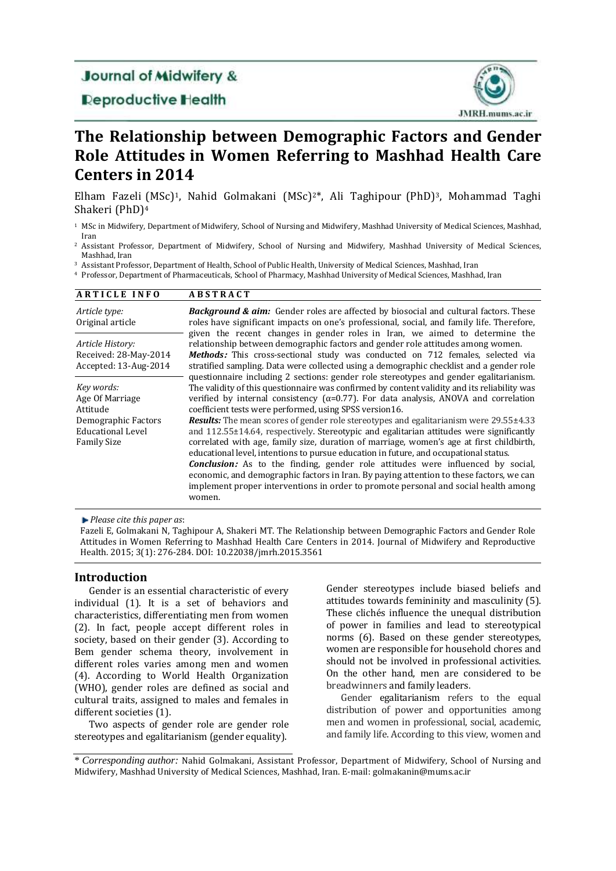# Journal of Midwifery &

**Deproductive Health** 



# **The Relationship between Demographic Factors and Gender Role Attitudes in Women Referring to Mashhad Health Care Centers in 2014**

Elham Fazeli (MSc)1, Nahid Golmakani (MSc)2\*, Ali Taghipour (PhD)3, Mohammad Taghi Shakeri (PhD)<sup>4</sup>

- <sup>1</sup> MSc in Midwifery, Department of Midwifery, School of Nursing and Midwifery, Mashhad University of Medical Sciences, Mashhad, Iran
- <sup>2</sup> Assistant Professor, Department of Midwifery, School of Nursing and Midwifery, Mashhad University of Medical Sciences, Mashhad, Iran
- <sup>3</sup> Assistant Professor, Department of Health, School of Public Health, University of Medical Sciences, Mashhad, Iran
- <sup>4</sup> Professor, Department of Pharmaceuticals, School of Pharmacy, Mashhad University of Medical Sciences, Mashhad, Iran

#### **A R T I C L E I N F O A B S T R A C T**

| Article type:<br>Original article                                                                                  | <b>Background &amp; aim:</b> Gender roles are affected by biosocial and cultural factors. These<br>roles have significant impacts on one's professional, social, and family life. Therefore,<br>given the recent changes in gender roles in Iran, we aimed to determine the                                                                                                                                                                                                                                                                                                                                                                                                                                                                                                                                                                                                                                                                                                                                               |
|--------------------------------------------------------------------------------------------------------------------|---------------------------------------------------------------------------------------------------------------------------------------------------------------------------------------------------------------------------------------------------------------------------------------------------------------------------------------------------------------------------------------------------------------------------------------------------------------------------------------------------------------------------------------------------------------------------------------------------------------------------------------------------------------------------------------------------------------------------------------------------------------------------------------------------------------------------------------------------------------------------------------------------------------------------------------------------------------------------------------------------------------------------|
| Article History:<br>Received: 28-May-2014<br>Accepted: 13-Aug-2014                                                 | relationship between demographic factors and gender role attitudes among women.<br><b>Methods:</b> This cross-sectional study was conducted on 712 females, selected via<br>stratified sampling. Data were collected using a demographic checklist and a gender role                                                                                                                                                                                                                                                                                                                                                                                                                                                                                                                                                                                                                                                                                                                                                      |
| Key words:<br>Age Of Marriage<br>Attitude<br>Demographic Factors<br><b>Educational Level</b><br><b>Family Size</b> | questionnaire including 2 sections: gender role stereotypes and gender egalitarianism.<br>The validity of this questionnaire was confirmed by content validity and its reliability was<br>verified by internal consistency ( $\alpha$ =0.77). For data analysis, ANOVA and correlation<br>coefficient tests were performed, using SPSS version16.<br><b>Results:</b> The mean scores of gender role stereotypes and egalitarianism were 29.55±4.33<br>and 112.55±14.64, respectively. Stereotypic and egalitarian attitudes were significantly<br>correlated with age, family size, duration of marriage, women's age at first childbirth,<br>educational level, intentions to pursue education in future, and occupational status.<br><b>Conclusion:</b> As to the finding, gender role attitudes were influenced by social,<br>economic, and demographic factors in Iran. By paying attention to these factors, we can<br>implement proper interventions in order to promote personal and social health among<br>women. |

*Please cite this paper as*:

Fazeli E, Golmakani N, Taghipour A, Shakeri MT. The Relationship between Demographic Factors and Gender Role Attitudes in Women Referring to Mashhad Health Care Centers in 2014. Journal of Midwifery and Reproductive Health. 2015; 3(1): 276-284. DOI: 10.22038/jmrh.2015.3561

#### **Introduction**

Gender is an essential characteristic of every individual (1). It is a set of behaviors and characteristics, differentiating men from women (2). In fact, people accept different roles in society, based on their gender (3). According to Bem gender schema theory, involvement in different roles varies among men and women (4). According to World Health Organization (WHO), gender roles are defined as social and cultural traits, assigned to males and females in different societies (1).

Two aspects of gender role are gender role stereotypes and egalitarianism (gender equality).

Gender stereotypes include biased beliefs and attitudes towards femininity and masculinity (5). These clichés influence the unequal distribution of power in families and lead to stereotypical norms (6). Based on these gender stereotypes, women are responsible for household chores and should not be involved in professional activities. On the other hand, men are considered to be breadwinners and family leaders.

Gender egalitarianism refers to the equal distribution of power and opportunities among men and women in professional, social, academic, and family life. According to this view, women and

\* *Corresponding author:* Nahid Golmakani, Assistant Professor, Department of Midwifery, School of Nursing and Midwifery, Mashhad University of Medical Sciences, Mashhad, Iran. E-mail: golmakanin@mums.ac.ir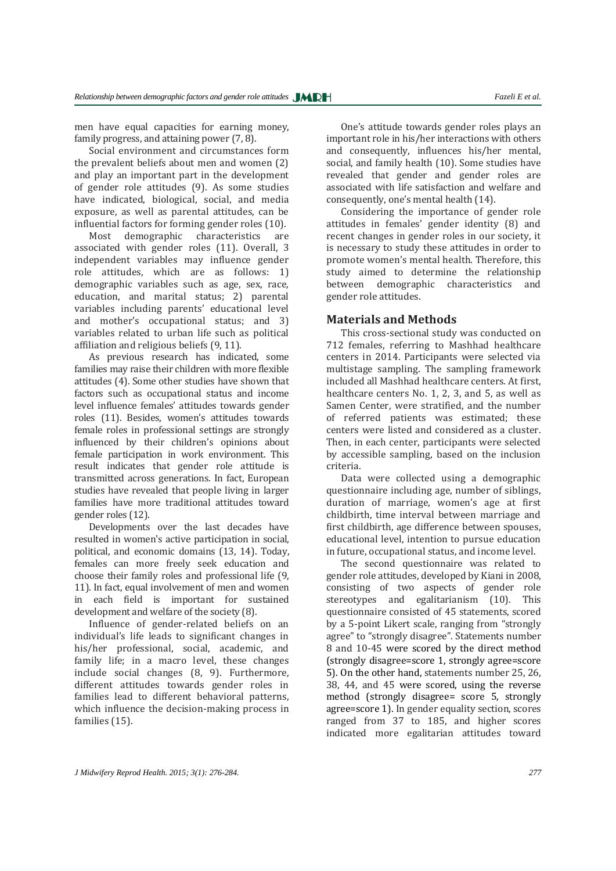men have equal capacities for earning money, family progress, and attaining power (7, 8).

Social environment and circumstances form the prevalent beliefs about men and women (2) and play an important part in the development of gender role attitudes (9). As some studies have indicated, biological, social, and media exposure, as well as parental attitudes, can be influential factors for forming gender roles (10).

Most demographic characteristics are associated with gender roles (11). Overall, 3 independent variables may influence gender role attitudes, which are as follows: 1) demographic variables such as age, sex, race, education, and marital status; 2) parental variables including parents' educational level and mother's occupational status; and 3) variables related to urban life such as political affiliation and religious beliefs (9, 11).

As previous research has indicated, some families may raise their children with more flexible attitudes (4). Some other studies have shown that factors such as occupational status and income level influence females' attitudes towards gender roles (11). Besides, women's attitudes towards female roles in professional settings are strongly influenced by their children's opinions about female participation in work environment. This result indicates that gender role attitude is transmitted across generations. In fact, European studies have revealed that people living in larger families have more traditional attitudes toward gender roles (12).

Developments over the last decades have resulted in women's active participation in social, political, and economic domains (13, 14). Today, females can more freely seek education and choose their family roles and professional life (9, 11). In fact, equal involvement of men and women in each field is important for sustained development and welfare of the society (8).

Influence of gender-related beliefs on an individual's life leads to significant changes in his/her professional, social, academic, and family life; in a macro level, these changes include social changes (8, 9). Furthermore, different attitudes towards gender roles in families lead to different behavioral patterns, which influence the decision-making process in families (15).

One's attitude towards gender roles plays an important role in his/her interactions with others and consequently, influences his/her mental, social, and family health (10). Some studies have revealed that gender and gender roles are associated with life satisfaction and welfare and consequently, one's mental health (14).

Considering the importance of gender role attitudes in females' gender identity (8) and recent changes in gender roles in our society, it is necessary to study these attitudes in order to promote women's mental health. Therefore, this study aimed to determine the relationship between demographic characteristics and gender role attitudes.

#### **Materials and Methods**

This cross-sectional study was conducted on 712 females, referring to Mashhad healthcare centers in 2014. Participants were selected via multistage sampling. The sampling framework included all Mashhad healthcare centers. At first, healthcare centers No. 1, 2, 3, and 5, as well as Samen Center, were stratified, and the number of referred patients was estimated; these centers were listed and considered as a cluster. Then, in each center, participants were selected by accessible sampling, based on the inclusion criteria.

Data were collected using a demographic questionnaire including age, number of siblings, duration of marriage, women's age at first childbirth, time interval between marriage and first childbirth, age difference between spouses, educational level, intention to pursue education in future, occupational status, and income level.

The second questionnaire was related to gender role attitudes, developed by Kiani in 2008, consisting of two aspects of gender role stereotypes and egalitarianism (10). This questionnaire consisted of 45 statements, scored by a 5-point Likert scale, ranging from "strongly agree" to "strongly disagree". Statements number 8 and 10-45 were scored by the direct method (strongly disagree=score 1, strongly agree=score 5). On the other hand, statements number 25, 26, 38, 44, and 45 were scored, using the reverse method (strongly disagree= score 5, strongly agree=score 1). In gender equality section, scores ranged from 37 to 185, and higher scores indicated more egalitarian attitudes toward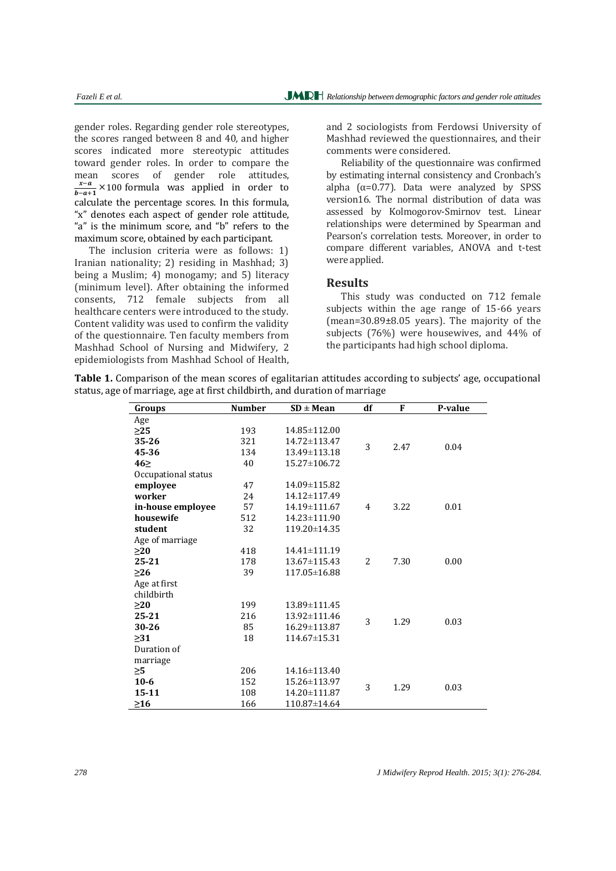gender roles. Regarding gender role stereotypes, the scores ranged between 8 and 40, and higher scores indicated more stereotypic attitudes toward gender roles. In order to compare the mean scores of gender role attitudes, x-a  $\frac{x-a}{b-a+1}$  × 100 formula was applied in order to calculate the percentage scores. In this formula, "x" denotes each aspect of gender role attitude, "a" is the minimum score, and "b" refers to the maximum score, obtained by each participant.

The inclusion criteria were as follows: 1) Iranian nationality; 2) residing in Mashhad; 3) being a Muslim; 4) monogamy; and 5) literacy (minimum level). After obtaining the informed consents, 712 female subjects from all healthcare centers were introduced to the study. Content validity was used to confirm the validity of the questionnaire. Ten faculty members from Mashhad School of Nursing and Midwifery, 2 epidemiologists from Mashhad School of Health, and 2 sociologists from Ferdowsi University of Mashhad reviewed the questionnaires, and their comments were considered.

Reliability of the questionnaire was confirmed by estimating internal consistency and Cronbach's alpha (α=0.77). Data were analyzed by SPSS version16. The normal distribution of data was assessed by Kolmogorov-Smirnov test. Linear relationships were determined by Spearman and Pearson's correlation tests. Moreover, in order to compare different variables, ANOVA and t-test were applied.

#### **Results**

This study was conducted on 712 female subjects within the age range of 15-66 years (mean=30.89±8.05 years). The majority of the subjects (76%) were housewives, and 44% of the participants had high school diploma.

| <b>Table 1.</b> Comparison of the mean scores of egalitarian attitudes according to subjects' age, occupational |  |  |  |  |
|-----------------------------------------------------------------------------------------------------------------|--|--|--|--|
| status, age of marriage, age at first childbirth, and duration of marriage                                      |  |  |  |  |

| Groups              | <b>Number</b> | $SD \pm Mean$ | df | F    | P-value |
|---------------------|---------------|---------------|----|------|---------|
| Age                 |               |               |    |      |         |
| >25                 | 193           | 14.85±112.00  |    |      |         |
| 35-26               | 321           | 14.72±113.47  | 3  | 2.47 | 0.04    |
| 45-36               | 134           | 13.49±113.18  |    |      |         |
| 46                  | 40            | 15.27±106.72  |    |      |         |
| Occupational status |               |               |    |      |         |
| employee            | 47            | 14.09±115.82  |    |      |         |
| worker              | 24            | 14.12±117.49  |    | 3.22 | 0.01    |
| in-house employee   | 57            | 14.19±111.67  | 4  |      |         |
| housewife           | 512           | 14.23±111.90  |    |      |         |
| student             | 32            | 119.20±14.35  |    |      |         |
| Age of marriage     |               |               |    |      |         |
| >20                 | 418           | 14.41±111.19  |    |      |         |
| $25 - 21$           | 178           | 13.67±115.43  | 2  | 7.30 | 0.00    |
| $>26$               | 39            | 117.05±16.88  |    |      |         |
| Age at first        |               |               |    |      |         |
| childbirth          |               |               |    |      |         |
| $\geq$ 20           | 199           | 13.89±111.45  |    |      |         |
| $25 - 21$           | 216           | 13.92±111.46  | 3  | 1.29 | 0.03    |
| 30-26               | 85            | 16.29±113.87  |    |      |         |
| $\geq$ 31           | 18            | 114.67±15.31  |    |      |         |
| Duration of         |               |               |    |      |         |
| marriage            |               |               |    |      |         |
| $\geq 5$            | 206           | 14.16±113.40  | 3  | 1.29 | 0.03    |
| $10-6$              | 152           | 15.26±113.97  |    |      |         |
| 15-11               | 108           | 14.20±111.87  |    |      |         |
| $\geq$ 16           | 166           | 110.87±14.64  |    |      |         |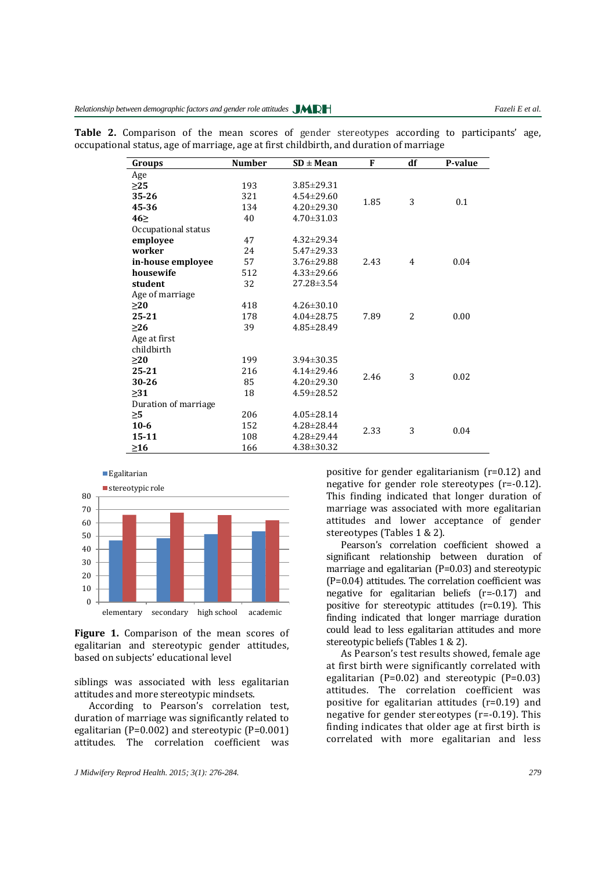| Groups               | <b>Number</b> | $SD \pm Mean$    | F    | df | P-value |
|----------------------|---------------|------------------|------|----|---------|
| Age                  |               |                  |      |    |         |
| >25                  | 193           | $3.85 \pm 29.31$ |      |    |         |
| 35-26                | 321           | $4.54 \pm 29.60$ | 1.85 | 3  | 0.1     |
| 45-36                | 134           | $4.20 \pm 29.30$ |      |    |         |
| $46\succeq$          | 40            | $4.70 \pm 31.03$ |      |    |         |
| Occupational status  |               |                  |      |    |         |
| employee             | 47            | $4.32 \pm 29.34$ |      |    |         |
| worker               | 24            | $5.47 \pm 29.33$ |      | 4  | 0.04    |
| in-house employee    | 57            | $3.76 \pm 29.88$ | 2.43 |    |         |
| housewife            | 512           | $4.33 \pm 29.66$ |      |    |         |
| student              | 32            | 27.28±3.54       |      |    |         |
| Age of marriage      |               |                  |      |    |         |
| >20                  | 418           | $4.26 \pm 30.10$ |      |    |         |
| 25-21                | 178           | $4.04 \pm 28.75$ | 7.89 | 2  | 0.00    |
| $>26$                | 39            | $4.85 \pm 28.49$ |      |    |         |
| Age at first         |               |                  |      |    |         |
| childbirth           |               |                  |      |    |         |
| $\geq$ 20            | 199           | $3.94 \pm 30.35$ |      |    |         |
| 25-21                | 216           | $4.14 \pm 29.46$ | 2.46 | 3  | 0.02    |
| 30-26                | 85            | $4.20 \pm 29.30$ |      |    |         |
| >31                  | 18            | $4.59 \pm 28.52$ |      |    |         |
| Duration of marriage |               |                  |      |    |         |
| >5                   | 206           | $4.05 \pm 28.14$ |      |    |         |
| $10-6$               | 152           | 4.28±28.44       | 2.33 | 3  | 0.04    |
| $15 - 11$            | 108           | $4.28 \pm 29.44$ |      |    |         |
| >16                  | 166           | $4.38 \pm 30.32$ |      |    |         |

**Table 2.** Comparison of the mean scores of gender stereotypes according to participants' age, occupational status, age of marriage, age at first childbirth, and duration of marriage



Figure 1. Comparison of the mean scores of egalitarian and stereotypic gender attitudes, based on subjects' educational level

siblings was associated with less egalitarian attitudes and more stereotypic mindsets.

According to Pearson's correlation test, duration of marriage was significantly related to egalitarian (P=0.002) and stereotypic (P=0.001) attitudes. The correlation coefficient was positive for gender egalitarianism (r=0.12) and negative for gender role stereotypes (r=-0.12). This finding indicated that longer duration of marriage was associated with more egalitarian attitudes and lower acceptance of gender stereotypes (Tables 1 & 2).

Pearson's correlation coefficient showed a significant relationship between duration of marriage and egalitarian (P=0.03) and stereotypic (P=0.04) attitudes. The correlation coefficient was negative for egalitarian beliefs (r=-0.17) and positive for stereotypic attitudes (r=0.19). This finding indicated that longer marriage duration could lead to less egalitarian attitudes and more stereotypic beliefs (Tables 1 & 2).

As Pearson's test results showed, female age at first birth were significantly correlated with egalitarian (P=0.02) and stereotypic (P=0.03) attitudes. The correlation coefficient was positive for egalitarian attitudes (r=0.19) and negative for gender stereotypes (r=-0.19). This finding indicates that older age at first birth is correlated with more egalitarian and less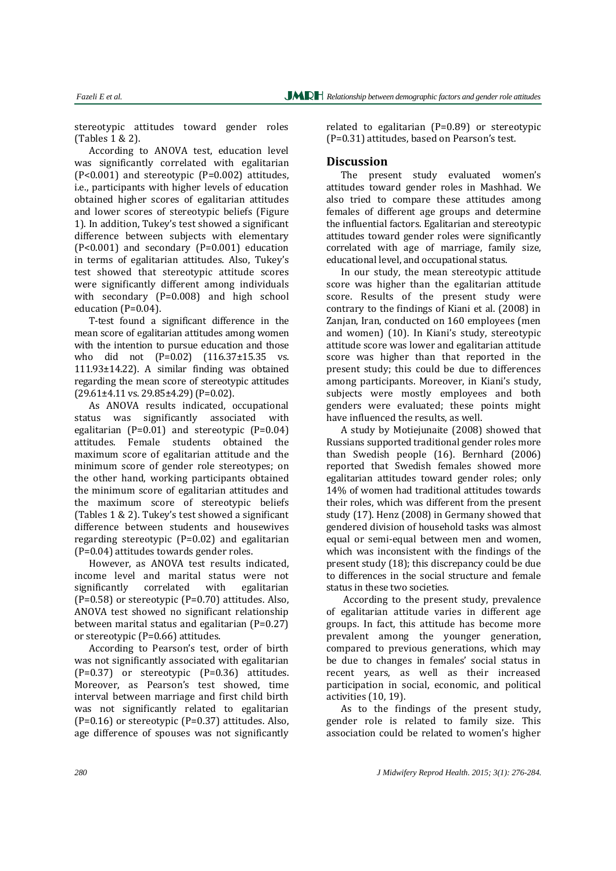stereotypic attitudes toward gender roles (Tables 1 & 2).

According to ANOVA test, education level was significantly correlated with egalitarian (P<0.001) and stereotypic (P=0.002) attitudes, i.e., participants with higher levels of education obtained higher scores of egalitarian attitudes and lower scores of stereotypic beliefs (Figure 1). In addition, Tukey's test showed a significant difference between subjects with elementary (P<0.001) and secondary (P=0.001) education in terms of egalitarian attitudes. Also, Tukey's test showed that stereotypic attitude scores were significantly different among individuals with secondary (P=0.008) and high school education (P=0.04).

T-test found a significant difference in the mean score of egalitarian attitudes among women with the intention to pursue education and those who did not (P=0.02) (116.37±15.35 vs. 111.93±14.22). A similar finding was obtained regarding the mean score of stereotypic attitudes (29.61±4.11 vs. 29.85±4.29) (P=0.02).

As ANOVA results indicated, occupational status was significantly associated with egalitarian (P=0.01) and stereotypic (P=0.04) attitudes. Female students obtained the maximum score of egalitarian attitude and the minimum score of gender role stereotypes; on the other hand, working participants obtained the minimum score of egalitarian attitudes and the maximum score of stereotypic beliefs (Tables 1 & 2). Tukey's test showed a significant difference between students and housewives regarding stereotypic (P=0.02) and egalitarian (P=0.04) attitudes towards gender roles.

However, as ANOVA test results indicated, income level and marital status were not significantly correlated with egalitarian (P=0.58) or stereotypic (P=0.70) attitudes. Also, ANOVA test showed no significant relationship between marital status and egalitarian  $(P=0.27)$ or stereotypic (P=0.66) attitudes.

According to Pearson's test, order of birth was not significantly associated with egalitarian (P=0.37) or stereotypic (P=0.36) attitudes. Moreover, as Pearson's test showed, time interval between marriage and first child birth was not significantly related to egalitarian (P=0.16) or stereotypic (P=0.37) attitudes. Also, age difference of spouses was not significantly related to egalitarian (P=0.89) or stereotypic (P=0.31) attitudes, based on Pearson's test.

## **Discussion**

The present study evaluated women's attitudes toward gender roles in Mashhad. We also tried to compare these attitudes among females of different age groups and determine the influential factors. Egalitarian and stereotypic attitudes toward gender roles were significantly correlated with age of marriage, family size, educational level, and occupational status.

In our study, the mean stereotypic attitude score was higher than the egalitarian attitude score. Results of the present study were contrary to the findings of Kiani et al. (2008) in Zanjan, Iran, conducted on 160 employees (men and women) (10). In Kiani's study, stereotypic attitude score was lower and egalitarian attitude score was higher than that reported in the present study; this could be due to differences among participants. Moreover, in Kiani's study, subjects were mostly employees and both genders were evaluated; these points might have influenced the results, as well.

A study by Motiejunaite (2008) showed that Russians supported traditional gender roles more than Swedish people (16). Bernhard (2006) reported that Swedish females showed more egalitarian attitudes toward gender roles; only 14% of women had traditional attitudes towards their roles, which was different from the present study (17). Henz (2008) in Germany showed that gendered division of household tasks was almost equal or semi-equal between men and women, which was inconsistent with the findings of the present study (18); this discrepancy could be due to differences in the social structure and female status in these two societies.

According to the present study, prevalence of egalitarian attitude varies in different age groups. In fact, this attitude has become more prevalent among the younger generation, compared to previous generations, which may be due to changes in females' social status in recent years, as well as their increased participation in social, economic, and political activities (10, 19).

As to the findings of the present study, gender role is related to family size. This association could be related to women's higher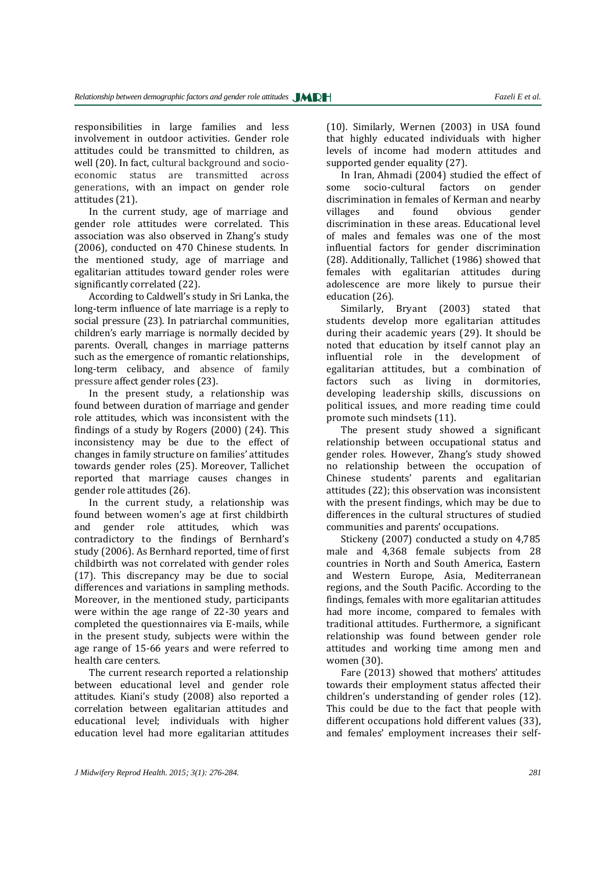responsibilities in large families and less involvement in outdoor activities. Gender role attitudes could be transmitted to children, as well (20). In fact, cultural background and socioeconomic status are transmitted across generations, with an impact on gender role attitudes (21).

In the current study, age of marriage and gender role attitudes were correlated. This association was also observed in Zhang's study (2006), conducted on 470 Chinese students. In the mentioned study, age of marriage and egalitarian attitudes toward gender roles were significantly correlated (22).

According to Caldwell's study in Sri Lanka, the long-term influence of late marriage is a reply to social pressure (23). In patriarchal communities, children's early marriage is normally decided by parents. Overall, changes in marriage patterns such as the emergence of romantic relationships, long-term celibacy, and absence of family pressure affect gender roles (23).

In the present study, a relationship was found between duration of marriage and gender role attitudes, which was inconsistent with the findings of a study by Rogers (2000) (24). This inconsistency may be due to the effect of changes in family structure on families' attitudes towards gender roles (25). Moreover, Tallichet reported that marriage causes changes in gender role attitudes (26).

In the current study, a relationship was found between women's age at first childbirth and gender role attitudes, which was contradictory to the findings of Bernhard's study (2006). As Bernhard reported, time of first childbirth was not correlated with gender roles (17). This discrepancy may be due to social differences and variations in sampling methods. Moreover, in the mentioned study, participants were within the age range of 22-30 years and completed the questionnaires via E-mails, while in the present study, subjects were within the age range of 15-66 years and were referred to health care centers.

The current research reported a relationship between educational level and gender role attitudes. Kiani's study (2008) also reported a correlation between egalitarian attitudes and educational level; individuals with higher education level had more egalitarian attitudes

(10). Similarly, Wernen (2003) in USA found that highly educated individuals with higher levels of income had modern attitudes and supported gender equality (27).

In Iran, Ahmadi (2004) studied the effect of some socio-cultural factors on gender discrimination in females of Kerman and nearby villages and found obvious gender discrimination in these areas. Educational level of males and females was one of the most influential factors for gender discrimination (28). Additionally, Tallichet (1986) showed that females with egalitarian attitudes during adolescence are more likely to pursue their education (26).

Similarly, Bryant (2003) stated that students develop more egalitarian attitudes during their academic years (29). It should be noted that education by itself cannot play an influential role in the development of egalitarian attitudes, but a combination of factors such as living in dormitories, developing leadership skills, discussions on political issues, and more reading time could promote such mindsets (11).

The present study showed a significant relationship between occupational status and gender roles. However, Zhang's study showed no relationship between the occupation of Chinese students' parents and egalitarian attitudes (22); this observation was inconsistent with the present findings, which may be due to differences in the cultural structures of studied communities and parents' occupations.

Stickeny (2007) conducted a study on 4,785 male and 4,368 female subjects from 28 countries in North and South America, Eastern and Western Europe, Asia, Mediterranean regions, and the South Pacific. According to the findings, females with more egalitarian attitudes had more income, compared to females with traditional attitudes. Furthermore, a significant relationship was found between gender role attitudes and working time among men and women (30).

Fare (2013) showed that mothers' attitudes towards their employment status affected their children's understanding of gender roles (12). This could be due to the fact that people with different occupations hold different values (33), and females' employment increases their self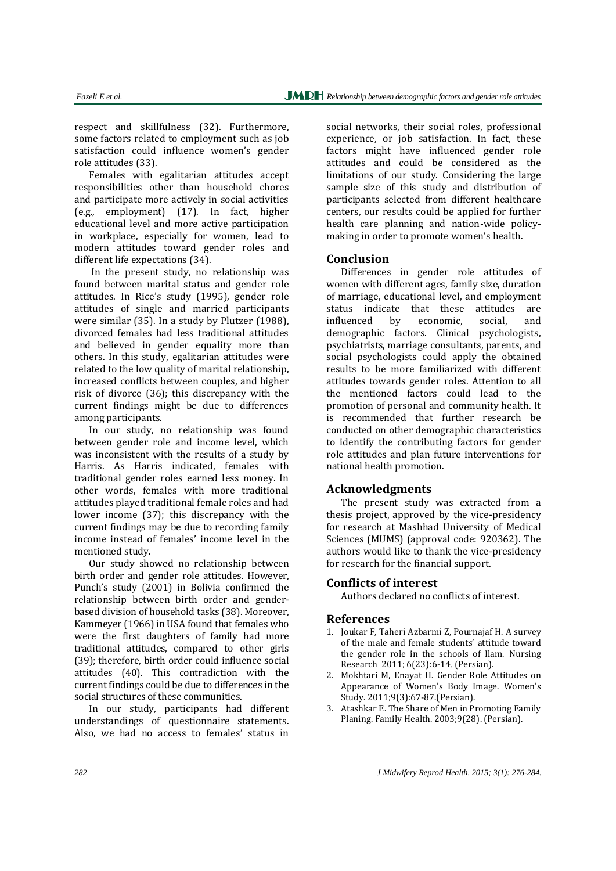respect and skillfulness (32). Furthermore, some factors related to employment such as job satisfaction could influence women's gender role attitudes (33).

Females with egalitarian attitudes accept responsibilities other than household chores and participate more actively in social activities (e.g., employment) (17). In fact, higher educational level and more active participation in workplace, especially for women, lead to modern attitudes toward gender roles and different life expectations (34).

In the present study, no relationship was found between marital status and gender role attitudes. In Rice's study (1995), gender role attitudes of single and married participants were similar (35). In a study by Plutzer (1988), divorced females had less traditional attitudes and believed in gender equality more than others. In this study, egalitarian attitudes were related to the low quality of marital relationship, increased conflicts between couples, and higher risk of divorce (36); this discrepancy with the current findings might be due to differences among participants.

In our study, no relationship was found between gender role and income level, which was inconsistent with the results of a study by Harris. As Harris indicated, females with traditional gender roles earned less money. In other words, females with more traditional attitudes played traditional female roles and had lower income (37); this discrepancy with the current findings may be due to recording family income instead of females' income level in the mentioned study.

Our study showed no relationship between birth order and gender role attitudes. However, Punch's study (2001) in Bolivia confirmed the relationship between birth order and genderbased division of household tasks (38). Moreover, Kammeyer (1966) in USA found that females who were the first daughters of family had more traditional attitudes, compared to other girls (39); therefore, birth order could influence social attitudes (40). This contradiction with the current findings could be due to differences in the social structures of these communities.

In our study, participants had different understandings of questionnaire statements. Also, we had no access to females' status in

social networks, their social roles, professional experience, or job satisfaction. In fact, these factors might have influenced gender role attitudes and could be considered as the limitations of our study. Considering the large sample size of this study and distribution of participants selected from different healthcare centers, our results could be applied for further health care planning and nation-wide policymaking in order to promote women's health.

#### **Conclusion**

Differences in gender role attitudes of women with different ages, family size, duration of marriage, educational level, and employment status indicate that these attitudes are influenced by economic, social, and demographic factors. Clinical psychologists, psychiatrists, marriage consultants, parents, and social psychologists could apply the obtained results to be more familiarized with different attitudes towards gender roles. Attention to all the mentioned factors could lead to the promotion of personal and community health. It is recommended that further research be conducted on other demographic characteristics to identify the contributing factors for gender role attitudes and plan future interventions for national health promotion.

#### **Acknowledgments**

The present study was extracted from a thesis project, approved by the vice-presidency for research at Mashhad University of Medical Sciences (MUMS) (approval code: 920362). The authors would like to thank the vice-presidency for research for the financial support.

#### **Conflicts of interest**

Authors declared no conflicts of interest.

### **References**

- 1. Joukar F, Taheri Azbarmi Z, Pournajaf H. A survey of the male and female students' attitude toward the gender role in the schools of Ilam. Nursing Research 2011; 6(23):6-14. (Persian).
- 2. Mokhtari M, Enayat H. Gender Role Attitudes on Appearance of Women's Body Image. Women's Study. 2011;9(3):67-87.(Persian).
- 3. Atashkar E. The Share of Men in Promoting Family Planing. Family Health. 2003;9(28). (Persian).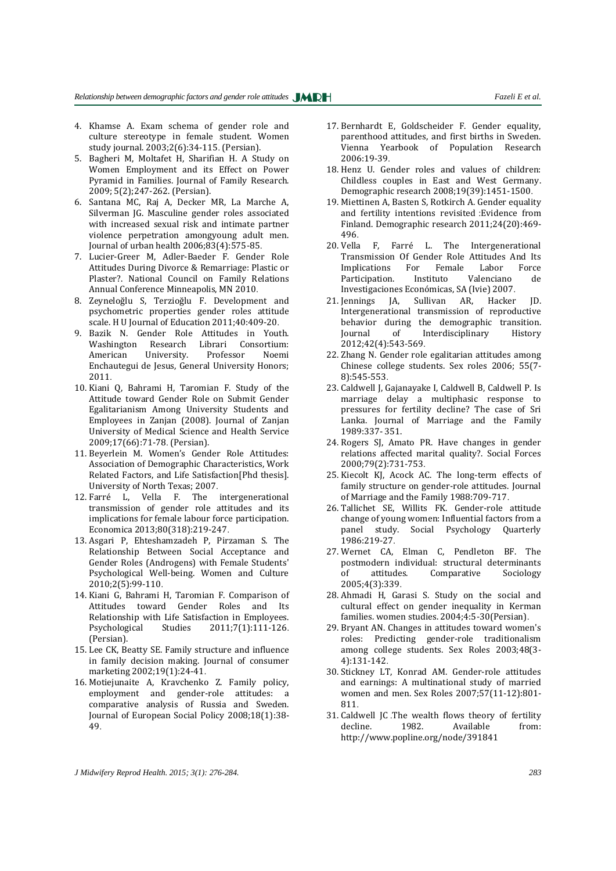- 4. Khamse A. Exam schema of gender role and culture stereotype in female student. Women study journal. 2003;2(6):34-115. (Persian).
- 5. Bagheri M, Moltafet H, Sharifian H. A Study on Women Employment and its Effect on Power Pyramid in Families. Journal of Family Research. 2009; 5(2);247-262. (Persian).
- 6. Santana MC, Raj A, Decker MR, La Marche A, Silverman JG. Masculine gender roles associated with increased sexual risk and intimate partner violence perpetration amongyoung adult men. Journal of urban health 2006;83(4):575-85.
- 7. Lucier-Greer M, Adler-Baeder F. Gender Role Attitudes During Divorce & Remarriage: Plastic or Plaster?. National Council on Family Relations Annual Conference Minneapolis, MN 2010.
- 8. Zeyneloğlu S, Terzioğlu F. Development and psychometric properties gender roles attitude scale. H U Journal of Education 2011;40:409-20.
- 9. Bazik N. Gender Role Attitudes in Youth. Washington Research Librari Consortium: American University. Professor Noemi Enchautegui de Jesus, General University Honors; 2011.
- 10. Kiani Q, Bahrami H, Taromian F. Study of the Attitude toward Gender Role on Submit Gender Egalitarianism Among University Students and Employees in Zanjan (2008). Journal of Zanjan University of Medical Science and Health Service 2009;17(66):71-78. (Persian).
- 11. Beyerlein M. Women's Gender Role Attitudes: Association of Demographic Characteristics, Work Related Factors, and Life Satisfaction[Phd thesis]. University of North Texas; 2007.
- 12. Farré L, Vella F. The intergenerational transmission of gender role attitudes and its implications for female labour force participation. Economica 2013;80(318):219-247.
- 13. Asgari P, Ehteshamzadeh P, Pirzaman S. The Relationship Between Social Acceptance and Gender Roles (Androgens) with Female Students' Psychological Well-being. Women and Culture 2010;2(5):99-110.
- 14. Kiani G, Bahrami H, Taromian F. Comparison of Attitudes toward Gender Roles and Its Relationship with Life Satisfaction in Employees. Psychological Studies 2011;7(1):111-126. (Persian).
- 15. Lee CK, Beatty SE. Family structure and influence in family decision making. Journal of consumer marketing 2002;19(1):24-41.
- 16. Motiejunaite A, Kravchenko Z. Family policy, employment and gender-role attitudes: a comparative analysis of Russia and Sweden. Journal of European Social Policy 2008;18(1):38- 49.
- 17. Bernhardt E, Goldscheider F. Gender equality, parenthood attitudes, and first births in Sweden. Vienna Yearbook of Population Research 2006:19-39.
- 18. Henz U. Gender roles and values of children: Childless couples in East and West Germany. Demographic research 2008;19(39):1451-1500.
- 19. Miettinen A, Basten S, Rotkirch A. Gender equality and fertility intentions revisited :Evidence from Finland. Demographic research 2011;24(20):469- 496.
- 20. Vella F, Farré L. The Intergenerational Transmission Of Gender Role Attitudes And Its Implications For Female Labor Force Participation. Instituto Valenciano de Investigaciones Económicas, SA (Ivie) 2007.
- 21. Jennings JA, Sullivan AR, Hacker JD. Intergenerational transmission of reproductive behavior during the demographic transition. Journal of Interdisciplinary History 2012;42(4):543-569.
- 22. Zhang N. Gender role egalitarian attitudes among Chinese college students. Sex roles 2006; 55(7- 8):545-553.
- 23. Caldwell J, Gajanayake I, Caldwell B, Caldwell P. Is marriage delay a multiphasic response to pressures for fertility decline? The case of Sri Lanka. Journal of Marriage and the Family 1989:337- 351.
- 24. Rogers SJ, Amato PR. Have changes in gender relations affected marital quality?. Social Forces 2000;79(2):731-753.
- 25. Kiecolt KJ, Acock AC. The long-term effects of family structure on gender-role attitudes. Journal of Marriage and the Family 1988:709-717.
- 26. Tallichet SE, Willits FK. Gender-role attitude change of young women: Influential factors from a panel study. Social Psychology Quarterly 1986:219-27.
- 27. Wernet CA, Elman C, Pendleton BF. The postmodern individual: structural determinants of attitudes. Comparative Sociology 2005;4(3):339.
- 28. Ahmadi H, Garasi S. Study on the social and cultural effect on gender inequality in Kerman families. women studies. 2004;4:5-30(Persian).
- 29. Bryant AN. Changes in attitudes toward women's roles: Predicting gender-role traditionalism among college students. Sex Roles 2003;48(3- 4):131-142.
- 30. Stickney LT, Konrad AM. Gender-role attitudes and earnings: A multinational study of married women and men. Sex Roles 2007;57(11-12):801- 811.
- 31. Caldwell JC .The wealth flows theory of fertility decline. 1982. Available from: http://www.popline.org/node/391841

*J Midwifery Reprod Health. 2015; 3(1): 276-284. 283*